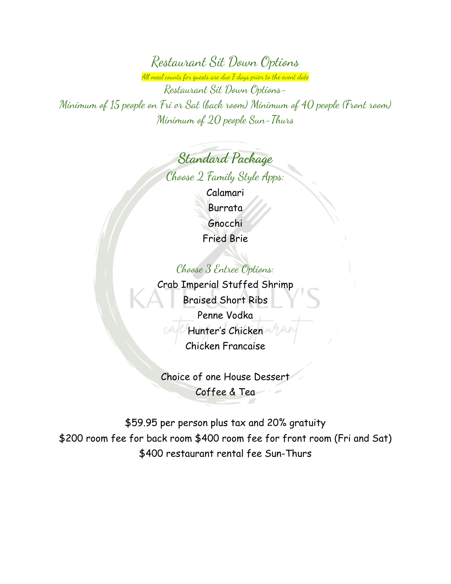Restaurant Sit Down Options

All meal counts for guests are due 7 days prior to the event date

Restaurant Sit Down Options-Minimum of 15 people on Fri or Sat (back room) Minimum of 40 people (Front room) Minimum of 20 people Sun-Thurs

> **Standard Package** Choose 2 Family Style Apps: Calamari Burrata Gnocchi Fried Brie

### Choose 3 Entree Options:

Crab Imperial Stuffed Shrimp Braised Short Ribs Penne Vodka Hunter's Chicken Chicken Francaise

Choice of one House Dessert Coffee & Tea

\$59.95 per person plus tax and 20% gratuity \$200 room fee for back room \$400 room fee for front room (Fri and Sat) \$400 restaurant rental fee Sun-Thurs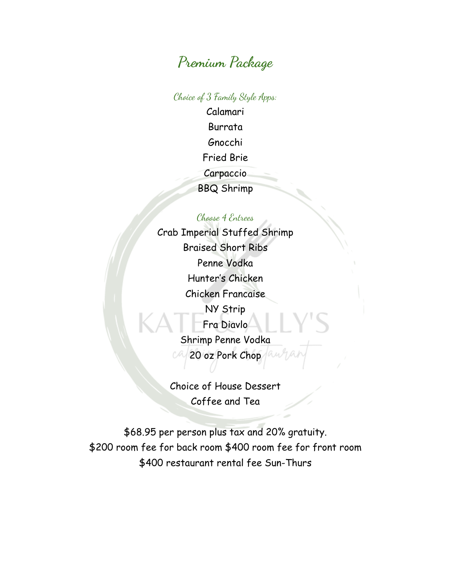# **Premium Package**

Choice of 3 Family Style Apps:

Calamari Burrata Gnocchi Fried Brie Carpaccio BBQ Shrimp

### Choose 4 Entrees

Crab Imperial Stuffed Shrimp Braised Short Ribs Penne Vodka Hunter's Chicken Chicken Francaise NY Strip Fra Diavlo Shrimp Penne Vodka 20 oz Pork Chop

Choice of House Dessert Coffee and Tea

\$68.95 per person plus tax and 20% gratuity. \$200 room fee for back room \$400 room fee for front room \$400 restaurant rental fee Sun-Thurs